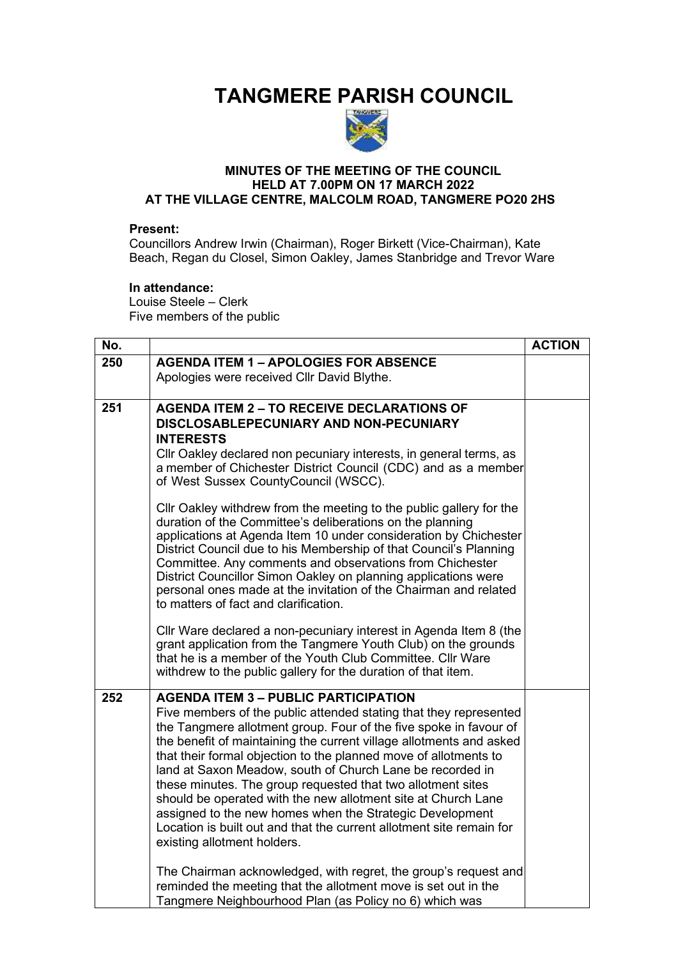# **TANGMERE PARISH COUNCIL**



## **MINUTES OF THE MEETING OF THE COUNCIL HELD AT 7.00PM ON 17 MARCH 2022 AT THE VILLAGE CENTRE, MALCOLM ROAD, TANGMERE PO20 2HS**

#### **Present:**

Councillors Andrew Irwin (Chairman), Roger Birkett (Vice-Chairman), Kate Beach, Regan du Closel, Simon Oakley, James Stanbridge and Trevor Ware

### **In attendance:**

Louise Steele – Clerk Five members of the public

| No. |                                                                                                                                                                                                                                                                                                                                                                                                                                                                                                                                                                                                                                                                                                                                                                                                                        | <b>ACTION</b> |
|-----|------------------------------------------------------------------------------------------------------------------------------------------------------------------------------------------------------------------------------------------------------------------------------------------------------------------------------------------------------------------------------------------------------------------------------------------------------------------------------------------------------------------------------------------------------------------------------------------------------------------------------------------------------------------------------------------------------------------------------------------------------------------------------------------------------------------------|---------------|
| 250 | <b>AGENDA ITEM 1 - APOLOGIES FOR ABSENCE</b><br>Apologies were received Cllr David Blythe.                                                                                                                                                                                                                                                                                                                                                                                                                                                                                                                                                                                                                                                                                                                             |               |
| 251 | <b>AGENDA ITEM 2 - TO RECEIVE DECLARATIONS OF</b><br>DISCLOSABLEPECUNIARY AND NON-PECUNIARY<br><b>INTERESTS</b><br>Cllr Oakley declared non pecuniary interests, in general terms, as<br>a member of Chichester District Council (CDC) and as a member<br>of West Sussex CountyCouncil (WSCC).<br>Cllr Oakley withdrew from the meeting to the public gallery for the<br>duration of the Committee's deliberations on the planning<br>applications at Agenda Item 10 under consideration by Chichester<br>District Council due to his Membership of that Council's Planning<br>Committee. Any comments and observations from Chichester<br>District Councillor Simon Oakley on planning applications were<br>personal ones made at the invitation of the Chairman and related<br>to matters of fact and clarification. |               |
|     | Cllr Ware declared a non-pecuniary interest in Agenda Item 8 (the<br>grant application from the Tangmere Youth Club) on the grounds<br>that he is a member of the Youth Club Committee. Cllr Ware<br>withdrew to the public gallery for the duration of that item.                                                                                                                                                                                                                                                                                                                                                                                                                                                                                                                                                     |               |
| 252 | <b>AGENDA ITEM 3 - PUBLIC PARTICIPATION</b><br>Five members of the public attended stating that they represented<br>the Tangmere allotment group. Four of the five spoke in favour of<br>the benefit of maintaining the current village allotments and asked<br>that their formal objection to the planned move of allotments to<br>land at Saxon Meadow, south of Church Lane be recorded in<br>these minutes. The group requested that two allotment sites<br>should be operated with the new allotment site at Church Lane<br>assigned to the new homes when the Strategic Development<br>Location is built out and that the current allotment site remain for<br>existing allotment holders.<br>The Chairman acknowledged, with regret, the group's request and                                                    |               |
|     | reminded the meeting that the allotment move is set out in the<br>Tangmere Neighbourhood Plan (as Policy no 6) which was                                                                                                                                                                                                                                                                                                                                                                                                                                                                                                                                                                                                                                                                                               |               |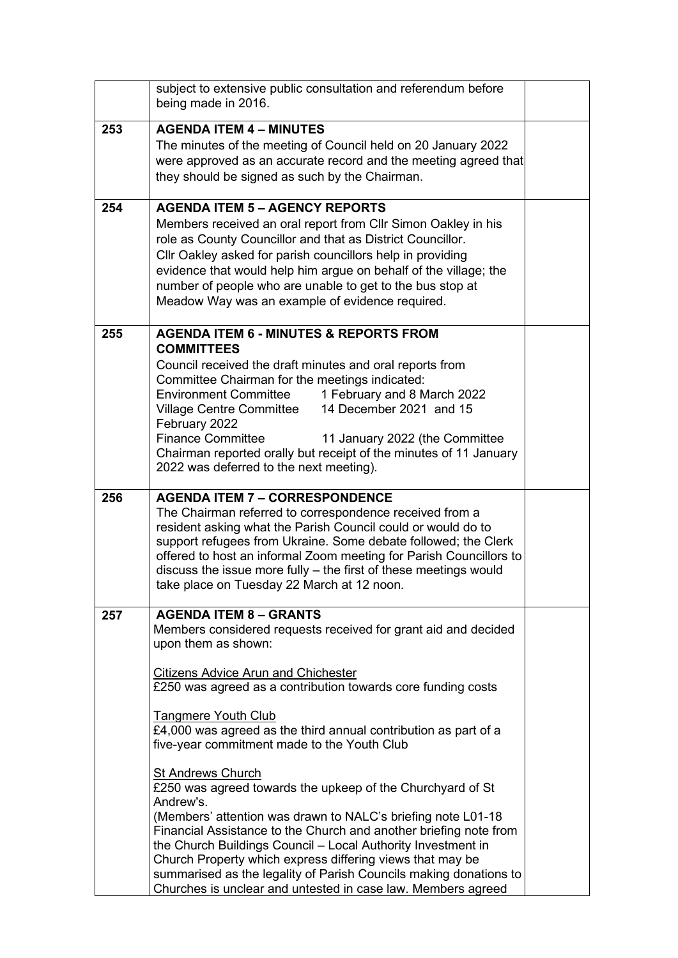| subject to extensive public consultation and referendum before<br>being made in 2016.                                                                                                                                                                                                                                                                                                                                                                                                                                                                                                                                                                                                                                                                         |                                                                                                                                                                                                                                                                            |
|---------------------------------------------------------------------------------------------------------------------------------------------------------------------------------------------------------------------------------------------------------------------------------------------------------------------------------------------------------------------------------------------------------------------------------------------------------------------------------------------------------------------------------------------------------------------------------------------------------------------------------------------------------------------------------------------------------------------------------------------------------------|----------------------------------------------------------------------------------------------------------------------------------------------------------------------------------------------------------------------------------------------------------------------------|
| <b>AGENDA ITEM 4 - MINUTES</b><br>The minutes of the meeting of Council held on 20 January 2022<br>they should be signed as such by the Chairman.                                                                                                                                                                                                                                                                                                                                                                                                                                                                                                                                                                                                             |                                                                                                                                                                                                                                                                            |
| <b>AGENDA ITEM 5 - AGENCY REPORTS</b><br>Members received an oral report from Cllr Simon Oakley in his<br>role as County Councillor and that as District Councillor.<br>Cllr Oakley asked for parish councillors help in providing<br>evidence that would help him argue on behalf of the village; the<br>number of people who are unable to get to the bus stop at<br>Meadow Way was an example of evidence required.                                                                                                                                                                                                                                                                                                                                        |                                                                                                                                                                                                                                                                            |
| <b>AGENDA ITEM 6 - MINUTES &amp; REPORTS FROM</b><br><b>COMMITTEES</b><br>Council received the draft minutes and oral reports from<br>Committee Chairman for the meetings indicated:<br><b>Environment Committee</b><br>1 February and 8 March 2022<br>14 December 2021 and 15<br><b>Village Centre Committee</b><br>February 2022<br><b>Finance Committee</b><br>11 January 2022 (the Committee<br>Chairman reported orally but receipt of the minutes of 11 January<br>2022 was deferred to the next meeting).                                                                                                                                                                                                                                              |                                                                                                                                                                                                                                                                            |
| <b>AGENDA ITEM 7 - CORRESPONDENCE</b><br>The Chairman referred to correspondence received from a<br>resident asking what the Parish Council could or would do to<br>support refugees from Ukraine. Some debate followed; the Clerk<br>discuss the issue more fully - the first of these meetings would<br>take place on Tuesday 22 March at 12 noon.                                                                                                                                                                                                                                                                                                                                                                                                          |                                                                                                                                                                                                                                                                            |
| <b>AGENDA ITEM 8 - GRANTS</b><br>Members considered requests received for grant aid and decided<br>upon them as shown:<br><b>Citizens Advice Arun and Chichester</b><br>£250 was agreed as a contribution towards core funding costs<br><b>Tangmere Youth Club</b><br>£4,000 was agreed as the third annual contribution as part of a<br>five-year commitment made to the Youth Club<br><b>St Andrews Church</b><br>£250 was agreed towards the upkeep of the Churchyard of St<br>Andrew's.<br>(Members' attention was drawn to NALC's briefing note L01-18<br>Financial Assistance to the Church and another briefing note from<br>the Church Buildings Council - Local Authority Investment in<br>Church Property which express differing views that may be |                                                                                                                                                                                                                                                                            |
|                                                                                                                                                                                                                                                                                                                                                                                                                                                                                                                                                                                                                                                                                                                                                               | were approved as an accurate record and the meeting agreed that<br>offered to host an informal Zoom meeting for Parish Councillors to<br>summarised as the legality of Parish Councils making donations to<br>Churches is unclear and untested in case law. Members agreed |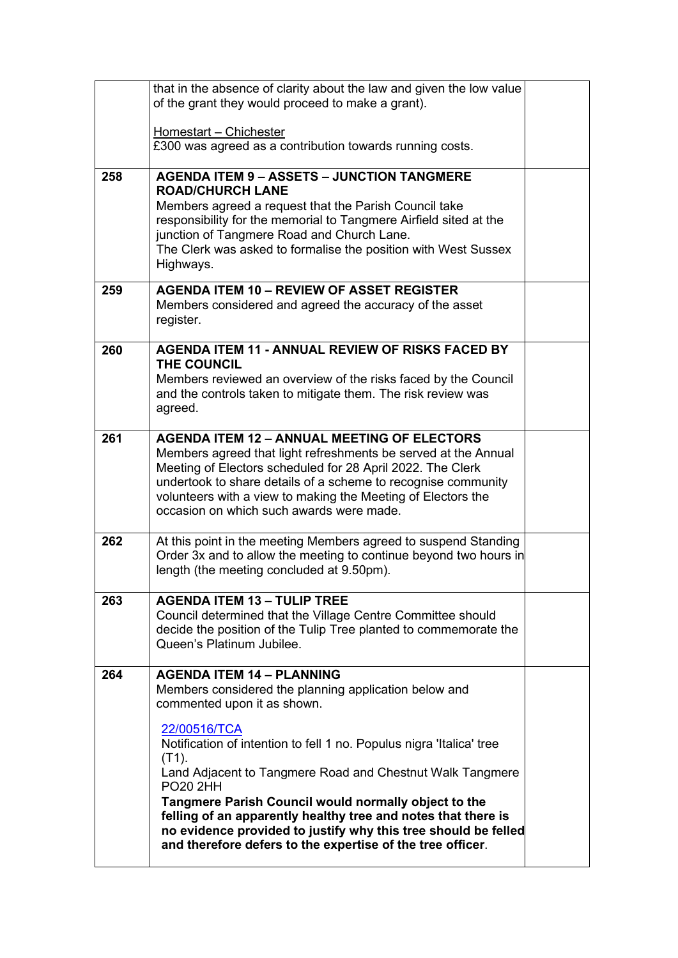|     | that in the absence of clarity about the law and given the low value                                                            |  |
|-----|---------------------------------------------------------------------------------------------------------------------------------|--|
|     | of the grant they would proceed to make a grant).                                                                               |  |
|     |                                                                                                                                 |  |
|     | Homestart - Chichester                                                                                                          |  |
|     | £300 was agreed as a contribution towards running costs.                                                                        |  |
|     |                                                                                                                                 |  |
| 258 | <b>AGENDA ITEM 9 - ASSETS - JUNCTION TANGMERE</b>                                                                               |  |
|     | <b>ROAD/CHURCH LANE</b>                                                                                                         |  |
|     | Members agreed a request that the Parish Council take<br>responsibility for the memorial to Tangmere Airfield sited at the      |  |
|     | junction of Tangmere Road and Church Lane.                                                                                      |  |
|     | The Clerk was asked to formalise the position with West Sussex                                                                  |  |
|     | Highways.                                                                                                                       |  |
|     |                                                                                                                                 |  |
| 259 | <b>AGENDA ITEM 10 - REVIEW OF ASSET REGISTER</b>                                                                                |  |
|     | Members considered and agreed the accuracy of the asset                                                                         |  |
|     | register.                                                                                                                       |  |
|     |                                                                                                                                 |  |
| 260 | <b>AGENDA ITEM 11 - ANNUAL REVIEW OF RISKS FACED BY</b>                                                                         |  |
|     | THE COUNCIL                                                                                                                     |  |
|     | Members reviewed an overview of the risks faced by the Council                                                                  |  |
|     | and the controls taken to mitigate them. The risk review was                                                                    |  |
|     | agreed.                                                                                                                         |  |
| 261 | <b>AGENDA ITEM 12 - ANNUAL MEETING OF ELECTORS</b>                                                                              |  |
|     | Members agreed that light refreshments be served at the Annual                                                                  |  |
|     | Meeting of Electors scheduled for 28 April 2022. The Clerk                                                                      |  |
|     | undertook to share details of a scheme to recognise community                                                                   |  |
|     | volunteers with a view to making the Meeting of Electors the                                                                    |  |
|     | occasion on which such awards were made.                                                                                        |  |
|     |                                                                                                                                 |  |
| 262 | At this point in the meeting Members agreed to suspend Standing                                                                 |  |
|     | Order 3x and to allow the meeting to continue beyond two hours in                                                               |  |
|     | length (the meeting concluded at 9.50pm).                                                                                       |  |
|     |                                                                                                                                 |  |
| 263 | <b>AGENDA ITEM 13 - TULIP TREE</b>                                                                                              |  |
|     | Council determined that the Village Centre Committee should<br>decide the position of the Tulip Tree planted to commemorate the |  |
|     | Queen's Platinum Jubilee.                                                                                                       |  |
|     |                                                                                                                                 |  |
| 264 | <b>AGENDA ITEM 14 - PLANNING</b>                                                                                                |  |
|     | Members considered the planning application below and                                                                           |  |
|     | commented upon it as shown.                                                                                                     |  |
|     |                                                                                                                                 |  |
|     | 22/00516/TCA                                                                                                                    |  |
|     | Notification of intention to fell 1 no. Populus nigra 'Italica' tree                                                            |  |
|     | $(T1)$ .<br>Land Adjacent to Tangmere Road and Chestnut Walk Tangmere                                                           |  |
|     | <b>PO20 2HH</b>                                                                                                                 |  |
|     | Tangmere Parish Council would normally object to the                                                                            |  |
|     | felling of an apparently healthy tree and notes that there is                                                                   |  |
|     | no evidence provided to justify why this tree should be felled                                                                  |  |
|     | and therefore defers to the expertise of the tree officer.                                                                      |  |
|     |                                                                                                                                 |  |